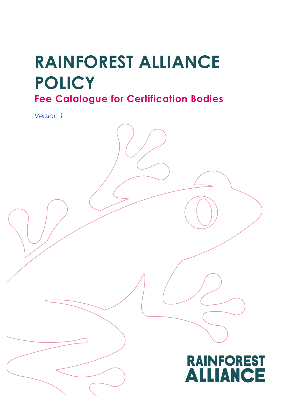# **RAINFOREST ALLIANCE POLICY**

**Fee Catalogue for Certification Bodies**

*Version 1*

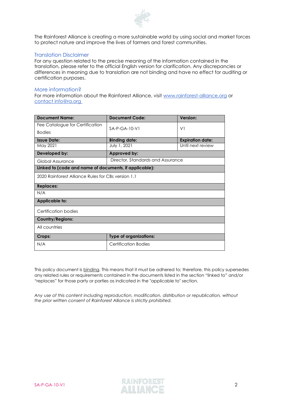

The Rainforest Alliance is creating a more sustainable world by using social and market forces to protect nature and improve the lives of farmers and forest communities.

### Translation Disclaimer

For any question related to the precise meaning of the information contained in the translation, please refer to the official English version for clarification. Any discrepancies or differences in meaning due to translation are not binding and have no effect for auditing or certification purposes.

#### More information?

For more information about the Rainforest Alliance, visit [www.rainforest-alliance.org](http://www.rainforest-alliance.org/) or contact [info@ra.org](mailto:contact info@ra.org )

| <b>Document Name:</b>                                  | Document Code:                    | Version:                |  |
|--------------------------------------------------------|-----------------------------------|-------------------------|--|
| Fee Catalogue for Certification                        | $SA-P-GA-10-V1$                   | V <sub>1</sub>          |  |
| <b>Bodies</b>                                          |                                   |                         |  |
| <b>Issue Date:</b>                                     | <b>Binding date:</b>              | <b>Expiration date:</b> |  |
| May 2021                                               | July 1, 2021                      | Until next review       |  |
| Developed by:                                          | Approved by:                      |                         |  |
| Global Assurance                                       | Director, Standards and Assurance |                         |  |
| Linked to (code and name of documents, if applicable): |                                   |                         |  |
| 2020 Rainforest Alliance Rules for CBs version 1.1     |                                   |                         |  |
| <b>Replaces:</b>                                       |                                   |                         |  |
| N/A                                                    |                                   |                         |  |
| Applicable to:                                         |                                   |                         |  |
| Certification bodies                                   |                                   |                         |  |
| <b>Country/Regions:</b>                                |                                   |                         |  |
| All countries                                          |                                   |                         |  |
| Crops:                                                 | <b>Type of organizations:</b>     |                         |  |
| N/A                                                    | Certification Bodies              |                         |  |

This policy document is binding. This means that it must be adhered to; therefore, this policy supersedes any related rules or requirements contained in the documents listed in the section "linked to" and/or "replaces" for those party or parties as indicated in the "applicable to" section.

*Any use of this content including reproduction, modification, distribution or republication, without the prior written consent of Rainforest Alliance is strictly prohibited.*

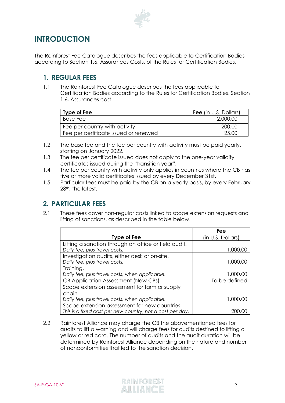

# **INTRODUCTION**

The Rainforest Fee Catalogue describes the fees applicable to Certification Bodies according to Section 1.6, Assurances Costs, of the Rules for Certification Bodies.

## **1. REGULAR FEES**

1.1 The Rainforest Fee Catalogue describes the fees applicable to Certification Bodies according to the Rules for Certification Bodies, Section 1.6, Assurances cost.

| <b>Type of Fee</b>                    | <b>Fee</b> (in U.S. Dollars) |
|---------------------------------------|------------------------------|
| <b>Base Fee</b>                       | 2,000.00                     |
| Fee per country with activity         | -200.00                      |
| Fee per certificate issued or renewed | 25.OO                        |

- 1.2 The base fee and the fee per country with activity must be paid yearly, starting on January 2022.
- 1.3 The fee per certificate issued does not apply to the one-year validity certificates issued during the "transition year".
- 1.4 The fee per country with activity only applies in countries where the CB has five or more valid certificates issued by every December 31st.
- 1.5 Particular fees must be paid by the CB on a yearly basis, by every February 28<sup>th</sup>, the latest.

## **2. PARTICULAR FEES**

2.1 These fees cover non-regular costs linked to scope extension requests and lifting of sanctions, as described in the table below.

|                                                           | Fee               |
|-----------------------------------------------------------|-------------------|
| <b>Type of Fee</b>                                        | (in U.S. Dollars) |
| Lifting a sanction through an office or field audit.      |                   |
| Daily fee, plus travel costs.                             | 1,000.00          |
| Investigation audits, either desk or on-site.             |                   |
| Daily fee, plus travel costs.                             | 1,000.00          |
| Training.                                                 |                   |
| Daily fee, plus travel costs, when applicable.            | 1,000.00          |
| CB Application Assessment (New CBs)                       | To be defined     |
| Scope extension assessment for farm or supply             |                   |
| chain                                                     |                   |
| Daily fee, plus travel costs, when applicable.            | 1,000.00          |
| Scope extension assessment for new countries              |                   |
| This is a fixed cost per new country, not a cost per day. |                   |

2.2 Rainforest Alliance may charge the CB the abovementioned fees for audits to lift a warning and will charge fees for audits destined to lifting a yellow or red card. The number of audits and the audit duration will be determined by Rainforest Alliance depending on the nature and number of nonconformities that led to the sanction decision.